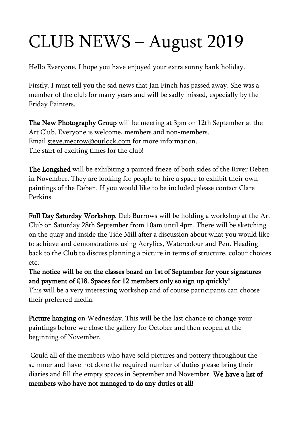## CLUB NEWS – August 2019

Hello Everyone, I hope you have enjoyed your extra sunny bank holiday.

Firstly, I must tell you the sad news that Jan Finch has passed away. She was a member of the club for many years and will be sadly missed, especially by the Friday Painters.

The New Photography Group will be meeting at 3pm on 12th September at the Art Club. Everyone is welcome, members and non-members. Email [steve.mecrow@outlock.com](mailto:steve.mecrow@outlock.com) for more information. The start of exciting times for the club!

The Longshed will be exhibiting a painted frieze of both sides of the River Deben in November. They are looking for people to hire a space to exhibit their own paintings of the Deben. If you would like to be included please contact Clare Perkins.

Full Day Saturday Workshop. Deb Burrows will be holding a workshop at the Art Club on Saturday 28th September from 10am until 4pm. There will be sketching on the quay and inside the Tide Mill after a discussion about what you would like to achieve and demonstrations using Acrylics, Watercolour and Pen. Heading back to the Club to discuss planning a picture in terms of structure, colour choices etc.

The notice will be on the classes board on 1st of September for your signatures and payment of £18. Spaces for 12 members only so sign up quickly! This will be a very interesting workshop and of course participants can choose

their preferred media.

Picture hanging on Wednesday. This will be the last chance to change your paintings before we close the gallery for October and then reopen at the beginning of November.

Could all of the members who have sold pictures and pottery throughout the summer and have not done the required number of duties please bring their diaries and fill the empty spaces in September and November. We have a list of members who have not managed to do any duties at all!